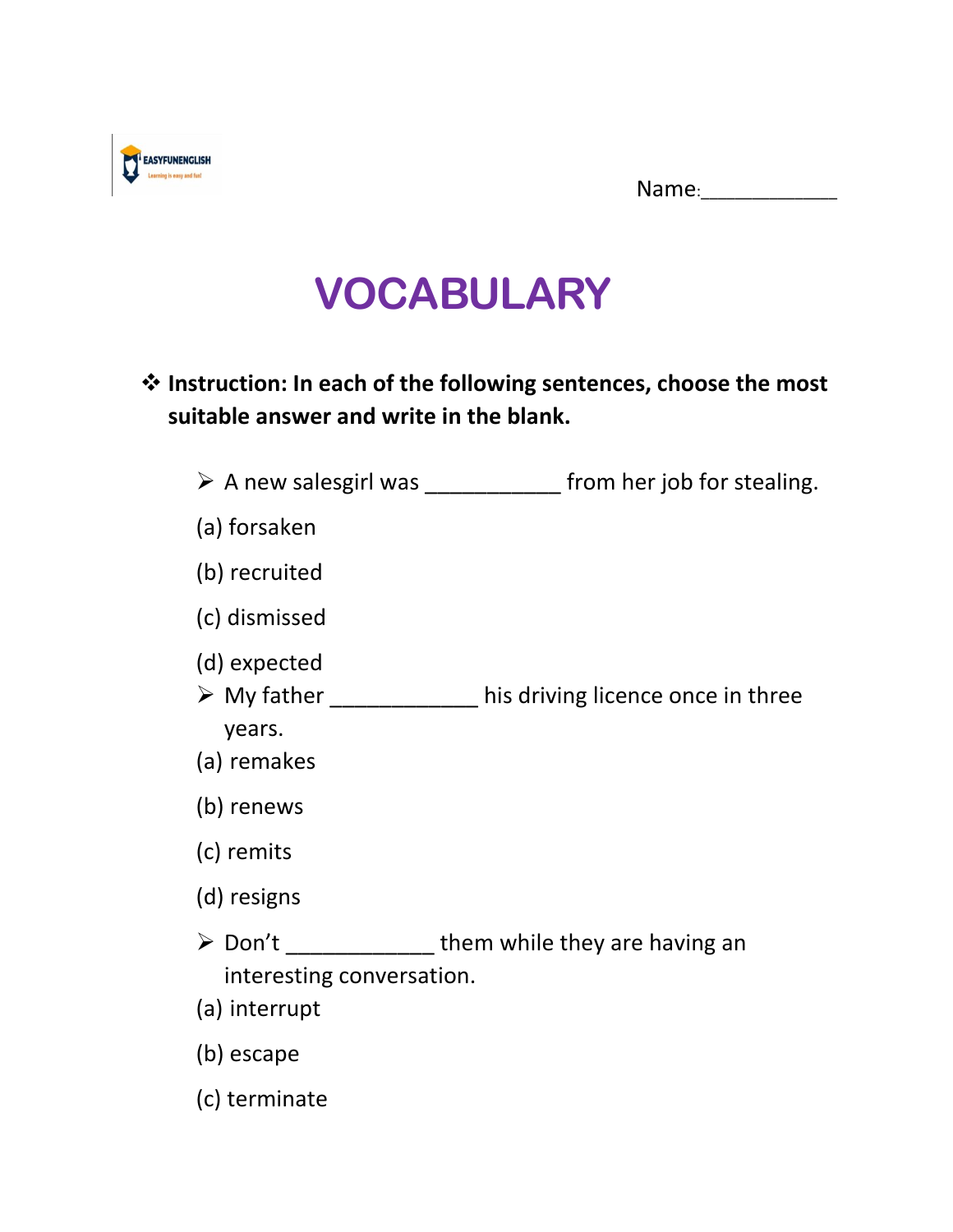| Name: |
|-------|
|-------|



## **VOCABULARY**

## ❖ **Instruction: In each of the following sentences, choose the most suitable answer and write in the blank.**

|                                                       | $\triangleright$ A new salesgirl was ________________ from her job for stealing. |
|-------------------------------------------------------|----------------------------------------------------------------------------------|
| (a) forsaken                                          |                                                                                  |
| (b) recruited                                         |                                                                                  |
| (c) dismissed                                         |                                                                                  |
| (d) expected<br>$\triangleright$ My father<br>years.  | his driving licence once in three                                                |
| (a) remakes                                           |                                                                                  |
| (b) renews                                            |                                                                                  |
| (c) remits                                            |                                                                                  |
| (d) resigns                                           |                                                                                  |
| ≻ Don't<br>interesting conversation.<br>(a) interrupt | them while they are having an                                                    |
| (b) escape                                            |                                                                                  |
| (c) terminate                                         |                                                                                  |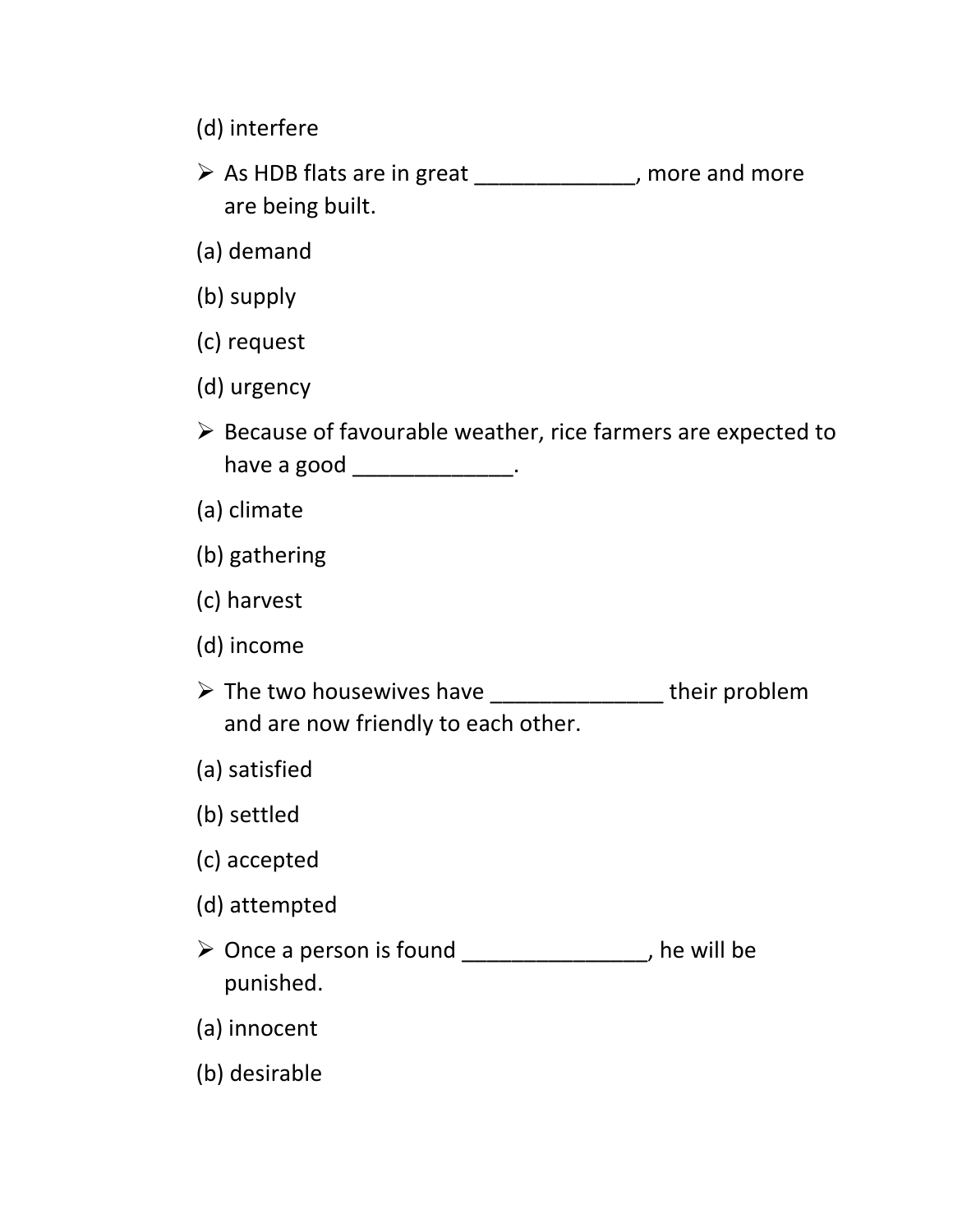- (d) interfere
- ➢ As HDB flats are in great \_\_\_\_\_\_\_\_\_\_\_\_\_, more and more are being built.
- (a) demand
- (b) supply
- (c) request
- (d) urgency
- ➢ Because of favourable weather, rice farmers are expected to have a good \_\_\_\_\_\_\_\_\_\_\_\_\_\_\_.
- (a) climate
- (b) gathering
- (c) harvest
- (d) income
- ➢ The two housewives have \_\_\_\_\_\_\_\_\_\_\_\_\_\_ their problem and are now friendly to each other.
- (a) satisfied
- (b) settled
- (c) accepted
- (d) attempted
- ➢ Once a person is found \_\_\_\_\_\_\_\_\_\_\_\_\_\_\_, he will be punished.
- (a) innocent
- (b) desirable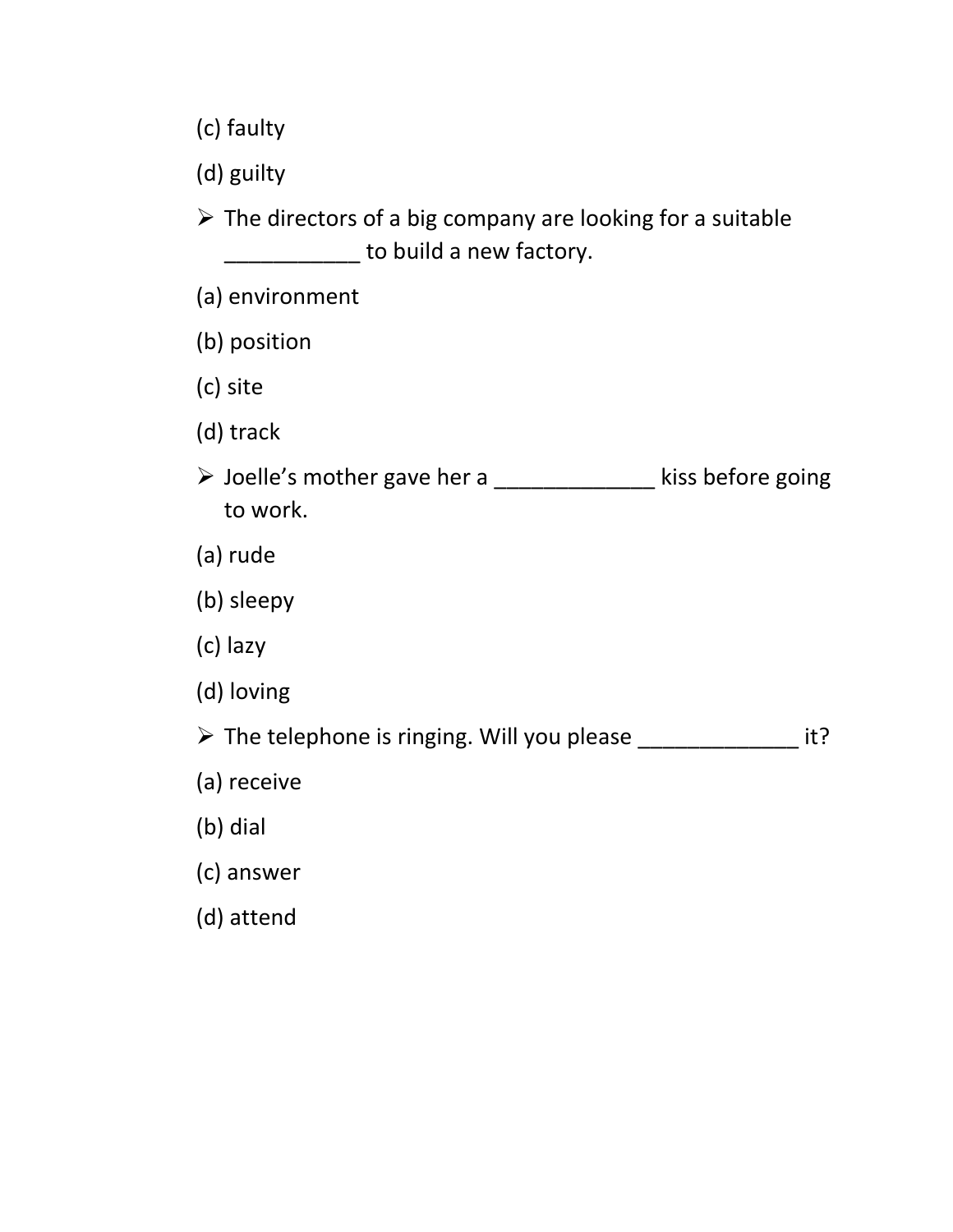(c) faulty

(d) guilty

➢ The directors of a big company are looking for a suitable **with the build a new factory.** 

- (a) environment
- (b) position
- (c) site
- (d) track
- ➢ Joelle's mother gave her a \_\_\_\_\_\_\_\_\_\_\_\_\_ kiss before going to work.
- (a) rude
- (b) sleepy
- (c) lazy
- (d) loving

➢ The telephone is ringing. Will you please \_\_\_\_\_\_\_\_\_\_\_\_\_ it?

- (a) receive
- (b) dial
- (c) answer
- (d) attend